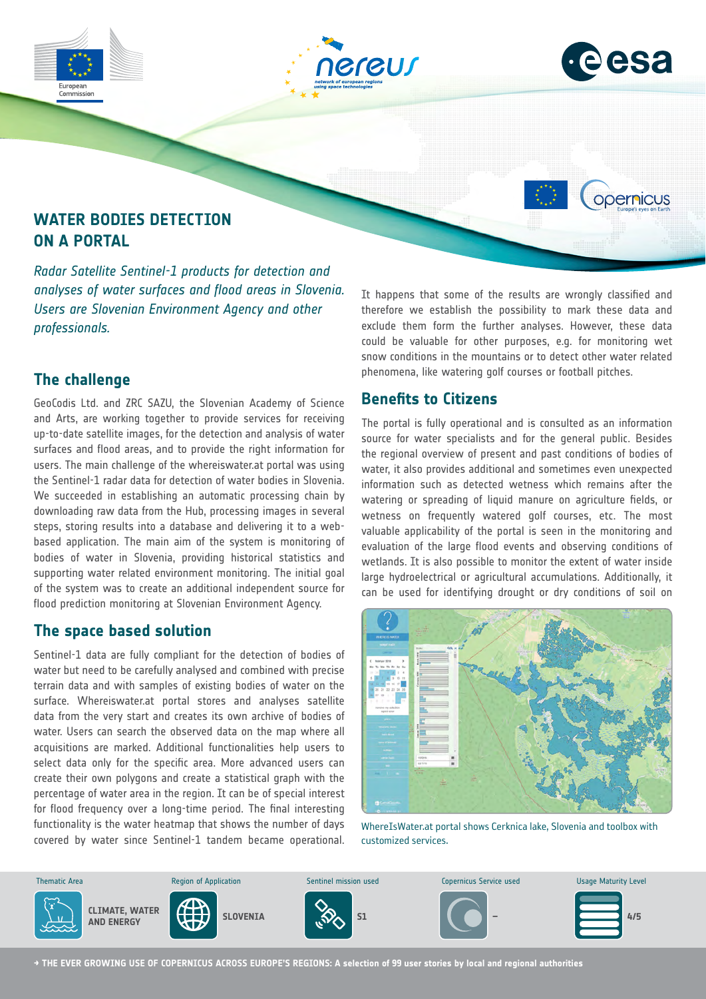



opernicus

# **WATER BODIES DETECTION ON A PORTAL**

*Radar Satellite Sentinel-1 products for detection and analyses of water surfaces and flood areas in Slovenia. Users are Slovenian Environment Agency and other professionals.*

### **The challenge**

GeoCodis Ltd. and ZRC SAZU, the Slovenian Academy of Science and Arts, are working together to provide services for receiving up-to-date satellite images, for the detection and analysis of water surfaces and flood areas, and to provide the right information for users. The main challenge of the whereiswater.at portal was using the Sentinel-1 radar data for detection of water bodies in Slovenia. We succeeded in establishing an automatic processing chain by downloading raw data from the Hub, processing images in several steps, storing results into a database and delivering it to a webbased application. The main aim of the system is monitoring of bodies of water in Slovenia, providing historical statistics and supporting water related environment monitoring. The initial goal of the system was to create an additional independent source for flood prediction monitoring at Slovenian Environment Agency.

#### **The space based solution**

Sentinel-1 data are fully compliant for the detection of bodies of water but need to be carefully analysed and combined with precise terrain data and with samples of existing bodies of water on the surface. Whereiswater.at portal stores and analyses satellite data from the very start and creates its own archive of bodies of water. Users can search the observed data on the map where all acquisitions are marked. Additional functionalities help users to select data only for the specific area. More advanced users can create their own polygons and create a statistical graph with the percentage of water area in the region. It can be of special interest for flood frequency over a long-time period. The final interesting functionality is the water heatmap that shows the number of days covered by water since Sentinel-1 tandem became operational. It happens that some of the results are wrongly classified and therefore we establish the possibility to mark these data and exclude them form the further analyses. However, these data could be valuable for other purposes, e.g. for monitoring wet snow conditions in the mountains or to detect other water related phenomena, like watering golf courses or football pitches.

#### **Benefits to Citizens**

The portal is fully operational and is consulted as an information source for water specialists and for the general public. Besides the regional overview of present and past conditions of bodies of water, it also provides additional and sometimes even unexpected information such as detected wetness which remains after the watering or spreading of liquid manure on agriculture fields, or wetness on frequently watered golf courses, etc. The most valuable applicability of the portal is seen in the monitoring and evaluation of the large flood events and observing conditions of wetlands. It is also possible to monitor the extent of water inside large hydroelectrical or agricultural accumulations. Additionally, it can be used for identifying drought or dry conditions of soil on



WhereIsWater.at portal shows Cerknica lake, Slovenia and toolbox with customized services.



**→ THE EVER GROWING USE OF COPERNICUS ACROSS EUROPE'S REGIONS: A selection of 99 user stories by local and regional authorities**